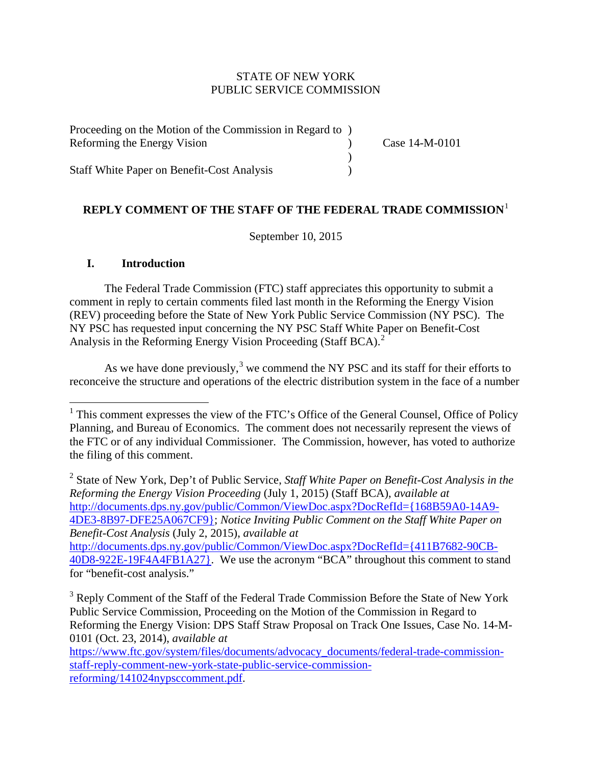### STATE OF NEW YORK PUBLIC SERVICE COMMISSION

| Proceeding on the Motion of the Commission in Regard to |                |
|---------------------------------------------------------|----------------|
| Reforming the Energy Vision                             | Case 14-M-0101 |
|                                                         |                |
| <b>Staff White Paper on Benefit-Cost Analysis</b>       |                |

# **REPLY COMMENT OF THE STAFF OF THE FEDERAL TRADE COMMISSION**[1](#page-0-0)

September 10, 2015

### **I. Introduction**

The Federal Trade Commission (FTC) staff appreciates this opportunity to submit a comment in reply to certain comments filed last month in the Reforming the Energy Vision (REV) proceeding before the State of New York Public Service Commission (NY PSC). The NY PSC has requested input concerning the NY PSC Staff White Paper on Benefit-Cost Analysis in the Reforming Energy Vision Proceeding (Staff BCA). [2](#page-0-1)

As we have done previously,<sup>[3](#page-0-2)</sup> we commend the NY PSC and its staff for their efforts to reconceive the structure and operations of the electric distribution system in the face of a number

<span id="page-0-1"></span><sup>2</sup> State of New York, Dep't of Public Service, *Staff White Paper on Benefit-Cost Analysis in the Reforming the Energy Vision Proceeding* (July 1, 2015) (Staff BCA), *available at* [http://documents.dps.ny.gov/public/Common/ViewDoc.aspx?DocRefId={168B59A0-14A9-](http://documents.dps.ny.gov/public/Common/ViewDoc.aspx?DocRefId=%7b168B59A0-14A9-4DE3-8B97-DFE25A067CF9%7d) [4DE3-8B97-DFE25A067CF9};](http://documents.dps.ny.gov/public/Common/ViewDoc.aspx?DocRefId=%7b168B59A0-14A9-4DE3-8B97-DFE25A067CF9%7d) *Notice Inviting Public Comment on the Staff White Paper on Benefit-Cost Analysis* (July 2, 2015), *available at* [http://documents.dps.ny.gov/public/Common/ViewDoc.aspx?DocRefId={411B7682-90CB-](http://documents.dps.ny.gov/public/Common/ViewDoc.aspx?DocRefId=%7b411B7682-90CB-40D8-922E-19F4A4FB1A27%7d)[40D8-922E-19F4A4FB1A27}.](http://documents.dps.ny.gov/public/Common/ViewDoc.aspx?DocRefId=%7b411B7682-90CB-40D8-922E-19F4A4FB1A27%7d) We use the acronym "BCA" throughout this comment to stand for "benefit-cost analysis."

<span id="page-0-2"></span><sup>3</sup> Reply Comment of the Staff of the Federal Trade Commission Before the State of New York Public Service Commission, Proceeding on the Motion of the Commission in Regard to Reforming the Energy Vision: DPS Staff Straw Proposal on Track One Issues, Case No. 14-M-0101 (Oct. 23, 2014), *available at*

<span id="page-0-0"></span><sup>&</sup>lt;sup>1</sup> This comment expresses the view of the FTC's Office of the General Counsel, Office of Policy Planning, and Bureau of Economics. The comment does not necessarily represent the views of the FTC or of any individual Commissioner. The Commission, however, has voted to authorize the filing of this comment.

[https://www.ftc.gov/system/files/documents/advocacy\\_documents/federal-trade-commission](https://www.ftc.gov/system/files/documents/advocacy_documents/federal-trade-commission-staff-reply-comment-new-york-state-public-service-commission-reforming/141024nypsccomment.pdf)[staff-reply-comment-new-york-state-public-service-commission](https://www.ftc.gov/system/files/documents/advocacy_documents/federal-trade-commission-staff-reply-comment-new-york-state-public-service-commission-reforming/141024nypsccomment.pdf)[reforming/141024nypsccomment.pdf.](https://www.ftc.gov/system/files/documents/advocacy_documents/federal-trade-commission-staff-reply-comment-new-york-state-public-service-commission-reforming/141024nypsccomment.pdf)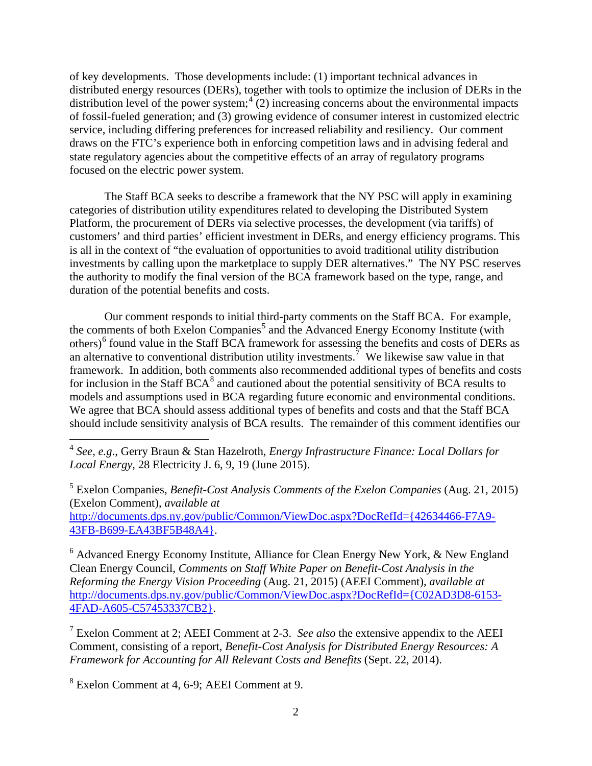of key developments. Those developments include: (1) important technical advances in distributed energy resources (DERs), together with tools to optimize the inclusion of DERs in the distribution level of the power system;  $\binom{4}{2}$  $\binom{4}{2}$  $\binom{4}{2}$  increasing concerns about the environmental impacts of fossil-fueled generation; and (3) growing evidence of consumer interest in customized electric service, including differing preferences for increased reliability and resiliency. Our comment draws on the FTC's experience both in enforcing competition laws and in advising federal and state regulatory agencies about the competitive effects of an array of regulatory programs focused on the electric power system.

The Staff BCA seeks to describe a framework that the NY PSC will apply in examining categories of distribution utility expenditures related to developing the Distributed System Platform, the procurement of DERs via selective processes, the development (via tariffs) of customers' and third parties' efficient investment in DERs, and energy efficiency programs. This is all in the context of "the evaluation of opportunities to avoid traditional utility distribution investments by calling upon the marketplace to supply DER alternatives." The NY PSC reserves the authority to modify the final version of the BCA framework based on the type, range, and duration of the potential benefits and costs.

Our comment responds to initial third-party comments on the Staff BCA. For example, the comments of both Exelon Companies<sup>[5](#page-1-1)</sup> and the Advanced Energy Economy Institute (with others)<sup>[6](#page-1-2)</sup> found value in the Staff BCA framework for assessing the benefits and costs of DERs as an alternative to conventional distribution utility investments.<sup>[7](#page-1-3)</sup> We likewise saw value in that framework. In addition, both comments also recommended additional types of benefits and costs for inclusion in the Staff BCA $<sup>8</sup>$  $<sup>8</sup>$  $<sup>8</sup>$  and cautioned about the potential sensitivity of BCA results to</sup> models and assumptions used in BCA regarding future economic and environmental conditions. We agree that BCA should assess additional types of benefits and costs and that the Staff BCA should include sensitivity analysis of BCA results. The remainder of this comment identifies our

<span id="page-1-1"></span><sup>5</sup> Exelon Companies, *Benefit-Cost Analysis Comments of the Exelon Companies* (Aug. 21, 2015) (Exelon Comment), *available at* [http://documents.dps.ny.gov/public/Common/ViewDoc.aspx?DocRefId={42634466-F7A9-](http://documents.dps.ny.gov/public/Common/ViewDoc.aspx?DocRefId=%7b42634466-F7A9-43FB-B699-EA43BF5B48A4%7d) [43FB-B699-EA43BF5B48A4}.](http://documents.dps.ny.gov/public/Common/ViewDoc.aspx?DocRefId=%7b42634466-F7A9-43FB-B699-EA43BF5B48A4%7d)

<span id="page-1-2"></span> $6$  Advanced Energy Economy Institute, Alliance for Clean Energy New York,  $\&$  New England Clean Energy Council, *Comments on Staff White Paper on Benefit-Cost Analysis in the Reforming the Energy Vision Proceeding* (Aug. 21, 2015) (AEEI Comment), *available at* [http://documents.dps.ny.gov/public/Common/ViewDoc.aspx?DocRefId={C02AD3D8-6153-](http://documents.dps.ny.gov/public/Common/ViewDoc.aspx?DocRefId=%7bC02AD3D8-6153-4FAD-A605-C57453337CB2%7d) [4FAD-A605-C57453337CB2}.](http://documents.dps.ny.gov/public/Common/ViewDoc.aspx?DocRefId=%7bC02AD3D8-6153-4FAD-A605-C57453337CB2%7d)

<span id="page-1-3"></span><sup>7</sup> Exelon Comment at 2; AEEI Comment at 2-3. *See also* the extensive appendix to the AEEI Comment, consisting of a report, *Benefit-Cost Analysis for Distributed Energy Resources: A Framework for Accounting for All Relevant Costs and Benefits* (Sept. 22, 2014).

<span id="page-1-4"></span><sup>8</sup> Exelon Comment at 4, 6-9; AEEI Comment at 9.

<span id="page-1-0"></span><sup>4</sup> *See*, *e.g*., Gerry Braun & Stan Hazelroth, *Energy Infrastructure Finance: Local Dollars for Local Energy*, 28 Electricity J. 6, 9, 19 (June 2015).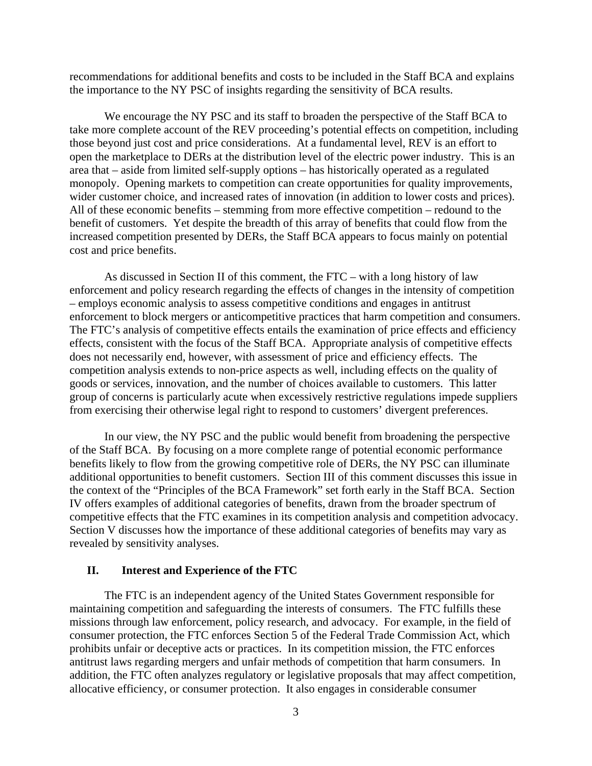recommendations for additional benefits and costs to be included in the Staff BCA and explains the importance to the NY PSC of insights regarding the sensitivity of BCA results.

We encourage the NY PSC and its staff to broaden the perspective of the Staff BCA to take more complete account of the REV proceeding's potential effects on competition, including those beyond just cost and price considerations. At a fundamental level, REV is an effort to open the marketplace to DERs at the distribution level of the electric power industry. This is an area that – aside from limited self-supply options – has historically operated as a regulated monopoly. Opening markets to competition can create opportunities for quality improvements, wider customer choice, and increased rates of innovation (in addition to lower costs and prices). All of these economic benefits – stemming from more effective competition – redound to the benefit of customers. Yet despite the breadth of this array of benefits that could flow from the increased competition presented by DERs, the Staff BCA appears to focus mainly on potential cost and price benefits.

As discussed in Section II of this comment, the FTC – with a long history of law enforcement and policy research regarding the effects of changes in the intensity of competition – employs economic analysis to assess competitive conditions and engages in antitrust enforcement to block mergers or anticompetitive practices that harm competition and consumers. The FTC's analysis of competitive effects entails the examination of price effects and efficiency effects, consistent with the focus of the Staff BCA. Appropriate analysis of competitive effects does not necessarily end, however, with assessment of price and efficiency effects. The competition analysis extends to non-price aspects as well, including effects on the quality of goods or services, innovation, and the number of choices available to customers. This latter group of concerns is particularly acute when excessively restrictive regulations impede suppliers from exercising their otherwise legal right to respond to customers' divergent preferences.

In our view, the NY PSC and the public would benefit from broadening the perspective of the Staff BCA. By focusing on a more complete range of potential economic performance benefits likely to flow from the growing competitive role of DERs, the NY PSC can illuminate additional opportunities to benefit customers. Section III of this comment discusses this issue in the context of the "Principles of the BCA Framework" set forth early in the Staff BCA. Section IV offers examples of additional categories of benefits, drawn from the broader spectrum of competitive effects that the FTC examines in its competition analysis and competition advocacy. Section V discusses how the importance of these additional categories of benefits may vary as revealed by sensitivity analyses.

### **II. Interest and Experience of the FTC**

The FTC is an independent agency of the United States Government responsible for maintaining competition and safeguarding the interests of consumers. The FTC fulfills these missions through law enforcement, policy research, and advocacy. For example, in the field of consumer protection, the FTC enforces Section 5 of the Federal Trade Commission Act, which prohibits unfair or deceptive acts or practices. In its competition mission, the FTC enforces antitrust laws regarding mergers and unfair methods of competition that harm consumers. In addition, the FTC often analyzes regulatory or legislative proposals that may affect competition, allocative efficiency, or consumer protection. It also engages in considerable consumer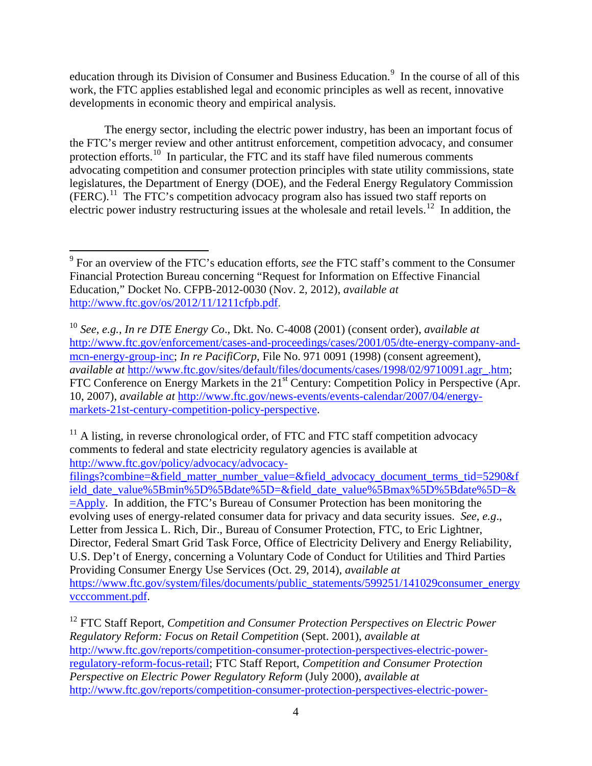education through its Division of Consumer and Business Education.<sup>[9](#page-3-0)</sup> In the course of all of this work, the FTC applies established legal and economic principles as well as recent, innovative developments in economic theory and empirical analysis.

The energy sector, including the electric power industry, has been an important focus of the FTC's merger review and other antitrust enforcement, competition advocacy, and consumer protection efforts.<sup>10</sup> In particular, the FTC and its staff have filed numerous comments advocating competition and consumer protection principles with state utility commissions, state legislatures, the Department of Energy (DOE), and the Federal Energy Regulatory Commission (FERC). [11](#page-3-2) The FTC's competition advocacy program also has issued two staff reports on electric power industry restructuring issues at the wholesale and retail levels.<sup>[12](#page-3-3)</sup> In addition, the

<span id="page-3-2"></span> $11$  A listing, in reverse chronological order, of FTC and FTC staff competition advocacy comments to federal and state electricity regulatory agencies is available at [http://www.ftc.gov/policy/advocacy/advocacy-](http://www.ftc.gov/policy/advocacy/advocacy-filings?combine=&field_matter_number_value=&field_advocacy_document_terms_tid=5290&field_date_value%5Bmin%5D%5Bdate%5D=&field_date_value%5Bmax%5D%5Bdate%5D=&=Apply)

<span id="page-3-0"></span><sup>9</sup> For an overview of the FTC's education efforts, *see* the FTC staff's comment to the Consumer Financial Protection Bureau concerning "Request for Information on Effective Financial Education," Docket No. CFPB-2012-0030 (Nov. 2, 2012), *available at*  [http://www.ftc.gov/os/2012/11/1211cfpb.pdf.](http://www.ftc.gov/os/2012/11/1211cfpb.pdf)

<span id="page-3-1"></span><sup>10</sup> *See*, *e.g.*, *In re DTE Energy Co*., Dkt. No. C-4008 (2001) (consent order), *available at* [http://www.ftc.gov/enforcement/cases-and-proceedings/cases/2001/05/dte-energy-company-and](http://www.ftc.gov/enforcement/cases-and-proceedings/cases/2001/05/dte-energy-company-and-mcn-energy-group-inc)[mcn-energy-group-inc;](http://www.ftc.gov/enforcement/cases-and-proceedings/cases/2001/05/dte-energy-company-and-mcn-energy-group-inc) *In re PacifiCorp*, File No. 971 0091 (1998) (consent agreement), *available at* [http://www.ftc.gov/sites/default/files/documents/cases/1998/02/9710091.agr\\_.htm;](http://www.ftc.gov/sites/default/files/documents/cases/1998/02/9710091.agr_.htm) FTC Conference on Energy Markets in the 21<sup>st</sup> Century: Competition Policy in Perspective (Apr. 10, 2007), *available at* [http://www.ftc.gov/news-events/events-calendar/2007/04/energy](http://www.ftc.gov/news-events/events-calendar/2007/04/energy-markets-21st-century-competition-policy-perspective)[markets-21st-century-competition-policy-perspective.](http://www.ftc.gov/news-events/events-calendar/2007/04/energy-markets-21st-century-competition-policy-perspective)

[filings?combine=&field\\_matter\\_number\\_value=&field\\_advocacy\\_document\\_terms\\_tid=5290&f](http://www.ftc.gov/policy/advocacy/advocacy-filings?combine=&field_matter_number_value=&field_advocacy_document_terms_tid=5290&field_date_value%5Bmin%5D%5Bdate%5D=&field_date_value%5Bmax%5D%5Bdate%5D=&=Apply) [ield\\_date\\_value%5Bmin%5D%5Bdate%5D=&field\\_date\\_value%5Bmax%5D%5Bdate%5D=&](http://www.ftc.gov/policy/advocacy/advocacy-filings?combine=&field_matter_number_value=&field_advocacy_document_terms_tid=5290&field_date_value%5Bmin%5D%5Bdate%5D=&field_date_value%5Bmax%5D%5Bdate%5D=&=Apply) [=Apply.](http://www.ftc.gov/policy/advocacy/advocacy-filings?combine=&field_matter_number_value=&field_advocacy_document_terms_tid=5290&field_date_value%5Bmin%5D%5Bdate%5D=&field_date_value%5Bmax%5D%5Bdate%5D=&=Apply) In addition, the FTC's Bureau of Consumer Protection has been monitoring the evolving uses of energy-related consumer data for privacy and data security issues. *See*, *e.g*., Letter from Jessica L. Rich, Dir., Bureau of Consumer Protection, FTC, to Eric Lightner, Director, Federal Smart Grid Task Force, Office of Electricity Delivery and Energy Reliability, U.S. Dep't of Energy, concerning a Voluntary Code of Conduct for Utilities and Third Parties Providing Consumer Energy Use Services (Oct. 29, 2014), *available at* [https://www.ftc.gov/system/files/documents/public\\_statements/599251/141029consumer\\_energy](https://www.ftc.gov/system/files/documents/public_statements/599251/141029consumer_energyvcccomment.pdf) [vcccomment.pdf.](https://www.ftc.gov/system/files/documents/public_statements/599251/141029consumer_energyvcccomment.pdf)

<span id="page-3-3"></span><sup>12</sup> FTC Staff Report, *Competition and Consumer Protection Perspectives on Electric Power Regulatory Reform: Focus on Retail Competition* (Sept. 2001), *available at* [http://www.ftc.gov/reports/competition-consumer-protection-perspectives-electric-power](http://www.ftc.gov/reports/competition-consumer-protection-perspectives-electric-power-regulatory-reform-focus-retail)[regulatory-reform-focus-retail;](http://www.ftc.gov/reports/competition-consumer-protection-perspectives-electric-power-regulatory-reform-focus-retail) FTC Staff Report, *Competition and Consumer Protection Perspective on Electric Power Regulatory Reform* (July 2000), *available at*  [http://www.ftc.gov/reports/competition-consumer-protection-perspectives-electric-power-](http://www.ftc.gov/reports/competition-consumer-protection-perspectives-electric-power-regulatory-reform)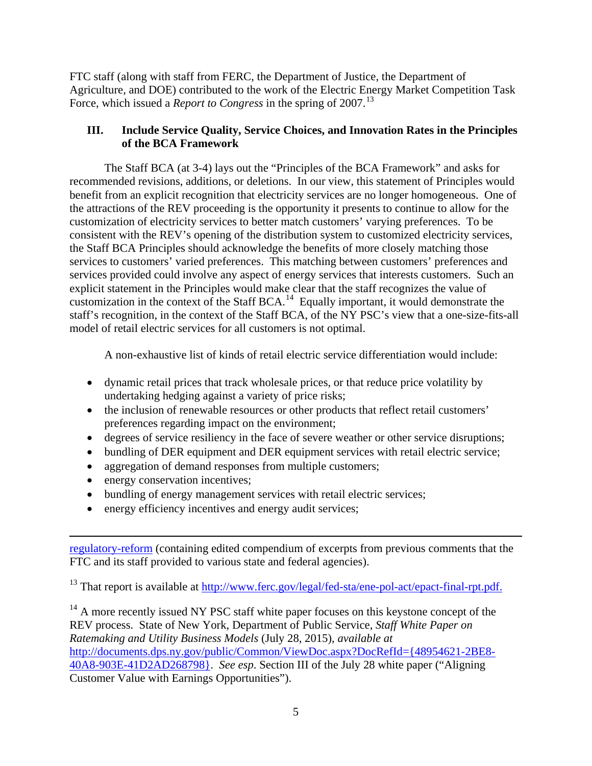FTC staff (along with staff from FERC, the Department of Justice, the Department of Agriculture, and DOE) contributed to the work of the Electric Energy Market Competition Task Force, which issued a *Report to Congress* in the spring of 2007.<sup>[13](#page-4-0)</sup>

# **III. Include Service Quality, Service Choices, and Innovation Rates in the Principles of the BCA Framework**

The Staff BCA (at 3-4) lays out the "Principles of the BCA Framework" and asks for recommended revisions, additions, or deletions. In our view, this statement of Principles would benefit from an explicit recognition that electricity services are no longer homogeneous. One of the attractions of the REV proceeding is the opportunity it presents to continue to allow for the customization of electricity services to better match customers' varying preferences. To be consistent with the REV's opening of the distribution system to customized electricity services, the Staff BCA Principles should acknowledge the benefits of more closely matching those services to customers' varied preferences. This matching between customers' preferences and services provided could involve any aspect of energy services that interests customers. Such an explicit statement in the Principles would make clear that the staff recognizes the value of customization in the context of the Staff BCA.<sup>14</sup> Equally important, it would demonstrate the staff's recognition, in the context of the Staff BCA, of the NY PSC's view that a one-size-fits-all model of retail electric services for all customers is not optimal.

A non-exhaustive list of kinds of retail electric service differentiation would include:

- dynamic retail prices that track wholesale prices, or that reduce price volatility by undertaking hedging against a variety of price risks;
- the inclusion of renewable resources or other products that reflect retail customers' preferences regarding impact on the environment;
- degrees of service resiliency in the face of severe weather or other service disruptions;
- bundling of DER equipment and DER equipment services with retail electric service;
- aggregation of demand responses from multiple customers;
- energy conservation incentives;

 $\overline{\phantom{a}}$ 

- bundling of energy management services with retail electric services;
- energy efficiency incentives and energy audit services;

[regulatory-reform](http://www.ftc.gov/reports/competition-consumer-protection-perspectives-electric-power-regulatory-reform) (containing edited compendium of excerpts from previous comments that the FTC and its staff provided to various state and federal agencies).

<span id="page-4-0"></span><sup>13</sup> That report is available at [http://www.ferc.gov/legal/fed-sta/ene-pol-act/epact-final-rpt.pdf.](http://www.ferc.gov/legal/fed-sta/ene-pol-act/epact-final-rpt.pdf)

<span id="page-4-1"></span> $14$  A more recently issued NY PSC staff white paper focuses on this keystone concept of the REV process. State of New York, Department of Public Service, *Staff White Paper on Ratemaking and Utility Business Models* (July 28, 2015), *available at* [http://documents.dps.ny.gov/public/Common/ViewDoc.aspx?DocRefId={48954621-2BE8-](http://documents.dps.ny.gov/public/Common/ViewDoc.aspx?DocRefId=%7b48954621-2BE8-40A8-903E-41D2AD268798%7d) [40A8-903E-41D2AD268798}.](http://documents.dps.ny.gov/public/Common/ViewDoc.aspx?DocRefId=%7b48954621-2BE8-40A8-903E-41D2AD268798%7d) *See esp*. Section III of the July 28 white paper ("Aligning Customer Value with Earnings Opportunities").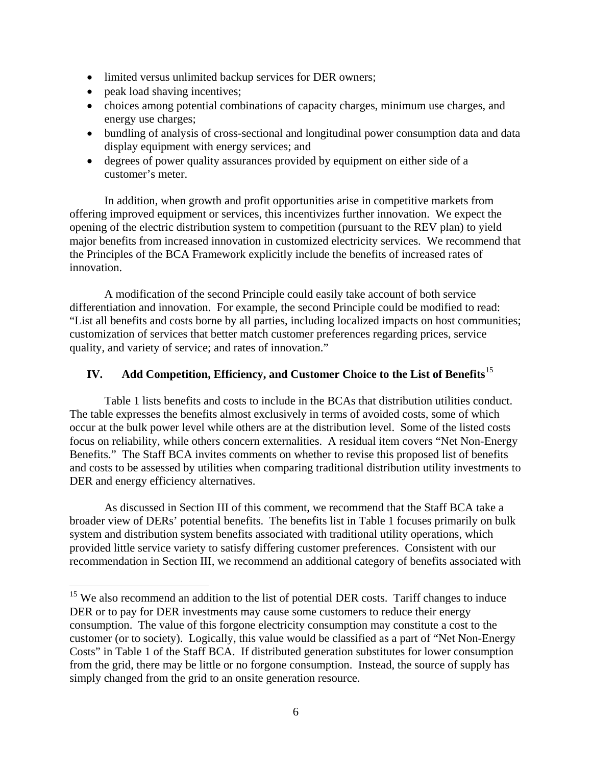- limited versus unlimited backup services for DER owners;
- peak load shaving incentives;
- choices among potential combinations of capacity charges, minimum use charges, and energy use charges;
- bundling of analysis of cross-sectional and longitudinal power consumption data and data display equipment with energy services; and
- degrees of power quality assurances provided by equipment on either side of a customer's meter.

In addition, when growth and profit opportunities arise in competitive markets from offering improved equipment or services, this incentivizes further innovation. We expect the opening of the electric distribution system to competition (pursuant to the REV plan) to yield major benefits from increased innovation in customized electricity services. We recommend that the Principles of the BCA Framework explicitly include the benefits of increased rates of innovation.

A modification of the second Principle could easily take account of both service differentiation and innovation. For example, the second Principle could be modified to read: "List all benefits and costs borne by all parties, including localized impacts on host communities; customization of services that better match customer preferences regarding prices, service quality, and variety of service; and rates of innovation."

## **IV. Add Competition, Efficiency, and Customer Choice to the List of Benefits**[15](#page-5-0)

Table 1 lists benefits and costs to include in the BCAs that distribution utilities conduct. The table expresses the benefits almost exclusively in terms of avoided costs, some of which occur at the bulk power level while others are at the distribution level. Some of the listed costs focus on reliability, while others concern externalities. A residual item covers "Net Non-Energy Benefits." The Staff BCA invites comments on whether to revise this proposed list of benefits and costs to be assessed by utilities when comparing traditional distribution utility investments to DER and energy efficiency alternatives.

As discussed in Section III of this comment, we recommend that the Staff BCA take a broader view of DERs' potential benefits. The benefits list in Table 1 focuses primarily on bulk system and distribution system benefits associated with traditional utility operations, which provided little service variety to satisfy differing customer preferences. Consistent with our recommendation in Section III, we recommend an additional category of benefits associated with

<span id="page-5-0"></span><sup>&</sup>lt;sup>15</sup> We also recommend an addition to the list of potential DER costs. Tariff changes to induce DER or to pay for DER investments may cause some customers to reduce their energy consumption. The value of this forgone electricity consumption may constitute a cost to the customer (or to society). Logically, this value would be classified as a part of "Net Non-Energy Costs" in Table 1 of the Staff BCA. If distributed generation substitutes for lower consumption from the grid, there may be little or no forgone consumption. Instead, the source of supply has simply changed from the grid to an onsite generation resource.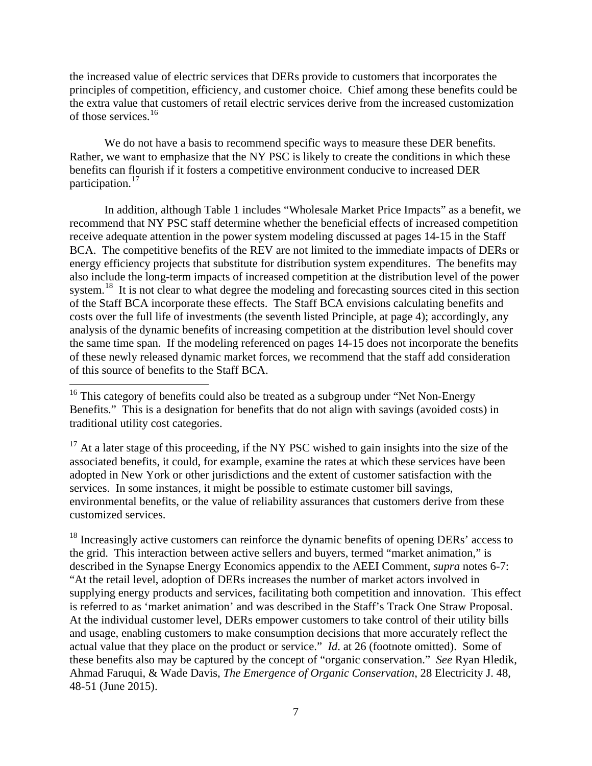the increased value of electric services that DERs provide to customers that incorporates the principles of competition, efficiency, and customer choice. Chief among these benefits could be the extra value that customers of retail electric services derive from the increased customization of those services.<sup>[16](#page-6-0)</sup>

We do not have a basis to recommend specific ways to measure these DER benefits. Rather, we want to emphasize that the NY PSC is likely to create the conditions in which these benefits can flourish if it fosters a competitive environment conducive to increased DER participation.<sup>[17](#page-6-1)</sup>

In addition, although Table 1 includes "Wholesale Market Price Impacts" as a benefit, we recommend that NY PSC staff determine whether the beneficial effects of increased competition receive adequate attention in the power system modeling discussed at pages 14-15 in the Staff BCA. The competitive benefits of the REV are not limited to the immediate impacts of DERs or energy efficiency projects that substitute for distribution system expenditures. The benefits may also include the long-term impacts of increased competition at the distribution level of the power system.<sup>18</sup> It is not clear to what degree the modeling and forecasting sources cited in this section of the Staff BCA incorporate these effects. The Staff BCA envisions calculating benefits and costs over the full life of investments (the seventh listed Principle, at page 4); accordingly, any analysis of the dynamic benefits of increasing competition at the distribution level should cover the same time span. If the modeling referenced on pages 14-15 does not incorporate the benefits of these newly released dynamic market forces, we recommend that the staff add consideration of this source of benefits to the Staff BCA.

<span id="page-6-1"></span> $17$  At a later stage of this proceeding, if the NY PSC wished to gain insights into the size of the associated benefits, it could, for example, examine the rates at which these services have been adopted in New York or other jurisdictions and the extent of customer satisfaction with the services. In some instances, it might be possible to estimate customer bill savings, environmental benefits, or the value of reliability assurances that customers derive from these customized services.

<span id="page-6-2"></span> $^{18}$  Increasingly active customers can reinforce the dynamic benefits of opening DERs' access to the grid. This interaction between active sellers and buyers, termed "market animation," is described in the Synapse Energy Economics appendix to the AEEI Comment, *supra* notes 6-7: "At the retail level, adoption of DERs increases the number of market actors involved in supplying energy products and services, facilitating both competition and innovation. This effect is referred to as 'market animation' and was described in the Staff's Track One Straw Proposal. At the individual customer level, DERs empower customers to take control of their utility bills and usage, enabling customers to make consumption decisions that more accurately reflect the actual value that they place on the product or service." *Id*. at 26 (footnote omitted). Some of these benefits also may be captured by the concept of "organic conservation." *See* Ryan Hledik, Ahmad Faruqui, & Wade Davis, *The Emergence of Organic Conservation*, 28 Electricity J. 48, 48-51 (June 2015).

<span id="page-6-0"></span><sup>&</sup>lt;sup>16</sup> This category of benefits could also be treated as a subgroup under "Net Non-Energy Benefits." This is a designation for benefits that do not align with savings (avoided costs) in traditional utility cost categories.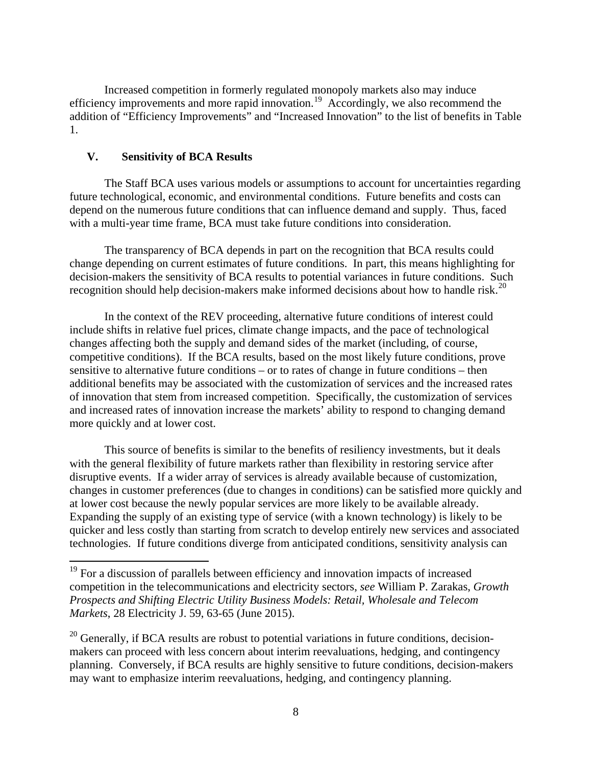Increased competition in formerly regulated monopoly markets also may induce efficiency improvements and more rapid innovation.<sup>[19](#page-7-0)</sup> Accordingly, we also recommend the addition of "Efficiency Improvements" and "Increased Innovation" to the list of benefits in Table 1.

### **V. Sensitivity of BCA Results**

The Staff BCA uses various models or assumptions to account for uncertainties regarding future technological, economic, and environmental conditions. Future benefits and costs can depend on the numerous future conditions that can influence demand and supply. Thus, faced with a multi-year time frame, BCA must take future conditions into consideration.

The transparency of BCA depends in part on the recognition that BCA results could change depending on current estimates of future conditions. In part, this means highlighting for decision-makers the sensitivity of BCA results to potential variances in future conditions. Such recognition should help decision-makers make informed decisions about how to handle risk.<sup>[20](#page-7-1)</sup>

In the context of the REV proceeding, alternative future conditions of interest could include shifts in relative fuel prices, climate change impacts, and the pace of technological changes affecting both the supply and demand sides of the market (including, of course, competitive conditions). If the BCA results, based on the most likely future conditions, prove sensitive to alternative future conditions – or to rates of change in future conditions – then additional benefits may be associated with the customization of services and the increased rates of innovation that stem from increased competition. Specifically, the customization of services and increased rates of innovation increase the markets' ability to respond to changing demand more quickly and at lower cost.

This source of benefits is similar to the benefits of resiliency investments, but it deals with the general flexibility of future markets rather than flexibility in restoring service after disruptive events. If a wider array of services is already available because of customization, changes in customer preferences (due to changes in conditions) can be satisfied more quickly and at lower cost because the newly popular services are more likely to be available already. Expanding the supply of an existing type of service (with a known technology) is likely to be quicker and less costly than starting from scratch to develop entirely new services and associated technologies. If future conditions diverge from anticipated conditions, sensitivity analysis can

<span id="page-7-0"></span><sup>&</sup>lt;sup>19</sup> For a discussion of parallels between efficiency and innovation impacts of increased competition in the telecommunications and electricity sectors, *see* William P. Zarakas, *Growth Prospects and Shifting Electric Utility Business Models: Retail, Wholesale and Telecom Markets*, 28 Electricity J. 59, 63-65 (June 2015).

<span id="page-7-1"></span> $20$  Generally, if BCA results are robust to potential variations in future conditions, decisionmakers can proceed with less concern about interim reevaluations, hedging, and contingency planning. Conversely, if BCA results are highly sensitive to future conditions, decision-makers may want to emphasize interim reevaluations, hedging, and contingency planning.